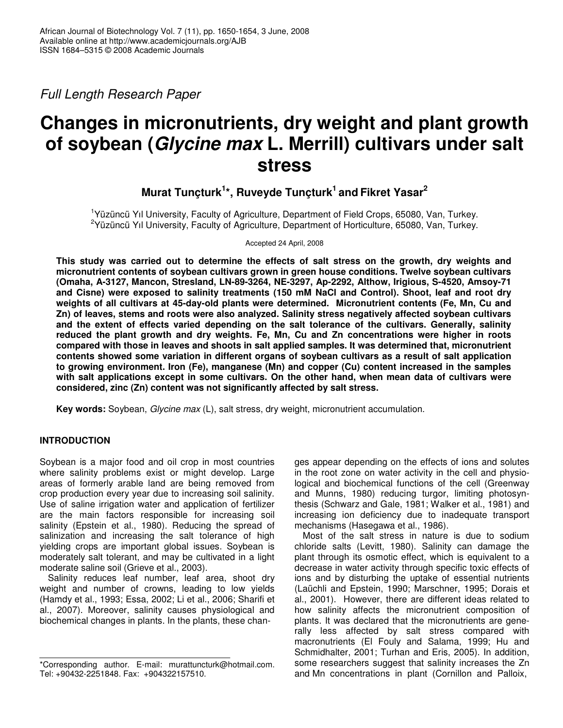*Full Length Research Paper*

# **Changes in micronutrients, dry weight and plant growth of soybean (***Glycine max* **L. Merrill) cultivars under salt stress**

## **Murat Tunçturk 1 \*, Ruveyde Tunçturk 1 and Fikret Yasar 2**

1 Yüzüncü Yıl University, Faculty of Agriculture, Department of Field Crops, 65080, Van, Turkey. <sup>2</sup>Yüzüncü Yıl University, Faculty of Agriculture, Department of Horticulture, 65080, Van, Turkey.

Accepted 24 April, 2008

**This study was carried out to determine the effects of salt stress on the growth, dry weights and micronutrient contents of soybean cultivars grown in green house conditions. Twelve soybean cultivars (Omaha, A-3127, Mancon, Stresland, LN-89-3264, NE-3297, Ap-2292, Althow, Irigious, S-4520, Amsoy-71 and Cisne) were exposed to salinity treatments (150 mM NaCl and Control). Shoot, leaf and root dry weights of all cultivars at 45-day-old plants were determined. Micronutrient contents (Fe, Mn, Cu and Zn) of leaves, stems and roots were also analyzed. Salinity stress negatively affected soybean cultivars and the extent of effects varied depending on the salt tolerance of the cultivars. Generally, salinity reduced the plant growth and dry weights. Fe, Mn, Cu and Zn concentrations were higher in roots compared with those in leaves and shoots in salt applied samples. It was determined that, micronutrient contents showed some variation in different organs of soybean cultivars as a result of salt application to growing environment. Iron (Fe), manganese (Mn) and copper (Cu) content increased in the samples with salt applications except in some cultivars. On the other hand, when mean data of cultivars were considered, zinc (Zn) content was not significantly affected by salt stress.**

**Key words:** Soybean, *Glycine max* (L), salt stress, dry weight, micronutrient accumulation.

### **INTRODUCTION**

Soybean is a major food and oil crop in most countries where salinity problems exist or might develop. Large areas of formerly arable land are being removed from crop production every year due to increasing soil salinity. Use of saline irrigation water and application of fertilizer are the main factors responsible for increasing soil salinity (Epstein et al., 1980). Reducing the spread of salinization and increasing the salt tolerance of high yielding crops are important global issues. Soybean is moderately salt tolerant, and may be cultivated in a light moderate saline soil (Grieve et al., 2003).

Salinity reduces leaf number, leaf area, shoot dry weight and number of crowns, leading to low yields (Hamdy et al., 1993; Essa, 2002; Li et al., 2006; Sharifi et al., 2007). Moreover, salinity causes physiological and biochemical changes in plants. In the plants, these changes appear depending on the effects of ions and solutes in the root zone on water activity in the cell and physiological and biochemical functions of the cell (Greenway and Munns, 1980) reducing turgor, limiting photosynthesis (Schwarz and Gale, 1981; Walker et al., 1981) and increasing ion deficiency due to inadequate transport mechanisms (Hasegawa et al., 1986).

Most of the salt stress in nature is due to sodium chloride salts (Levitt, 1980). Salinity can damage the plant through its osmotic effect, which is equivalent to a decrease in water activity through specific toxic effects of ions and by disturbing the uptake of essential nutrients (Laüchli and Epstein, 1990; Marschner, 1995; Dorais et al., 2001). However, there are different ideas related to how salinity affects the micronutrient composition of plants. It was declared that the micronutrients are generally less affected by salt stress compared with macronutrients (El Fouly and Salama, 1999; Hu and Schmidhalter, 2001; Turhan and Eris, 2005). In addition, some researchers suggest that salinity increases the Zn and Mn concentrations in plant (Cornillon and Palloix,

<sup>\*</sup>Corresponding author. E-mail: murattuncturk@hotmail.com. Tel: +90432-2251848. Fax: +904322157510.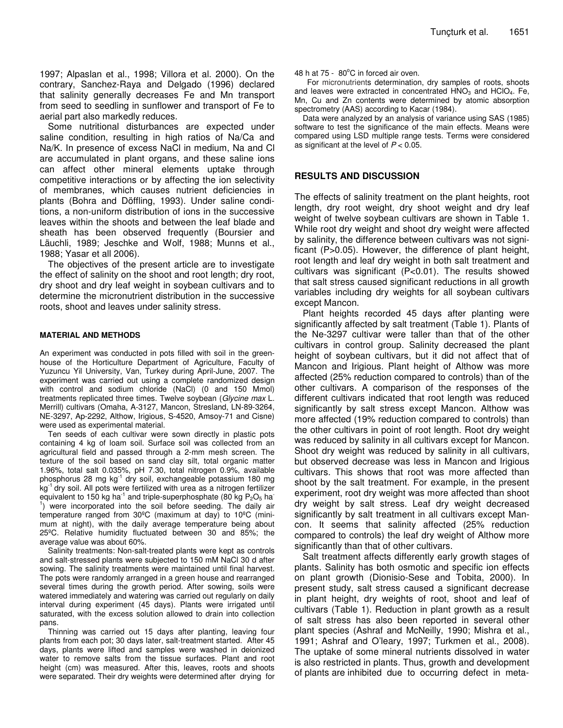1997; Alpaslan et al., 1998; Villora et al. 2000). On the contrary, Sanchez-Raya and Delgado (1996) declared that salinity generally decreases Fe and Mn transport from seed to seedling in sunflower and transport of Fe to aerial part also markedly reduces.

Some nutritional disturbances are expected under saline condition, resulting in high ratios of Na/Ca and Na/K. In presence of excess NaCl in medium, Na and Cl are accumulated in plant organs, and these saline ions can affect other mineral elements uptake through competitive interactions or by affecting the ion selectivity of membranes, which causes nutrient deficiencies in plants (Bohra and Döffling, 1993). Under saline conditions, a non-uniform distribution of ions in the successive leaves within the shoots and between the leaf blade and sheath has been observed frequently (Boursier and Läuchli, 1989; Jeschke and Wolf, 1988; Munns et al., 1988; Yasar et all 2006).

The objectives of the present article are to investigate the effect of salinity on the shoot and root length; dry root, dry shoot and dry leaf weight in soybean cultivars and to determine the micronutrient distribution in the successive roots, shoot and leaves under salinity stress.

#### **MATERIAL AND METHODS**

An experiment was conducted in pots filled with soil in the greenhouse of the Horticulture Department of Agriculture, Faculty of Yuzuncu Yil University, Van, Turkey during April-June, 2007. The experiment was carried out using a complete randomized design with control and sodium chloride (NaCl) (0 and 150 Mmol) treatments replicated three times. Twelve soybean (*Glycine max* L. Merrill) cultivars (Omaha, A-3127, Mancon, Stresland, LN-89-3264, NE-3297, Ap-2292, Althow, Irigious, S-4520, Amsoy-71 and Cisne) were used as experimental material.

Ten seeds of each cultivar were sown directly in plastic pots containing 4 kg of loam soil. Surface soil was collected from an agricultural field and passed through a 2-mm mesh screen. The texture of the soil based on sand clay silt, total organic matter 1.96%, total salt 0.035%, pH 7.30, total nitrogen 0.9%, available phosphorus 28 mg kg<sup>-1</sup> dry soil, exchangeable potassium 180 mg kg<sup>-1</sup> dry soil. All pots were fertilized with urea as a nitrogen fertilizer equivalent to 150 kg ha<sup>-1</sup> and triple-superphosphate (80 kg P<sub>2</sub>O<sub>5</sub> ha<sup>-</sup> 1 ) were incorporated into the soil before seeding. The daily air temperature ranged from 30ºC (maximum at day) to 10ºC (minimum at night), with the daily average temperature being about 25ºC. Relative humidity fluctuated between 30 and 85%; the average value was about 60%.

Salinity treatments: Non-salt-treated plants were kept as controls and salt-stressed plants were subjected to 150 mM NaCl 30 d after sowing. The salinity treatments were maintained until final harvest. The pots were randomly arranged in a green house and rearranged several times during the growth period. After sowing, soils were watered immediately and watering was carried out regularly on daily interval during experiment (45 days). Plants were irrigated until saturated, with the excess solution allowed to drain into collection pans.

Thinning was carried out 15 days after planting, leaving four plants from each pot; 30 days later, salt-treatment started. After 45 days, plants were lifted and samples were washed in deionized water to remove salts from the tissue surfaces. Plant and root height (cm) was measured. After this, leaves, roots and shoots were separated. Their dry weights were determined after drying for

For micronutrients determination, dry samples of roots, shoots and leaves were extracted in concentrated  $HNO<sub>3</sub>$  and  $HClO<sub>4</sub>$ . Fe, Mn, Cu and Zn contents were determined by atomic absorption spectrometry (AAS) according to Kacar (1984).

Data were analyzed by an analysis of variance using SAS (1985) software to test the significance of the main effects. Means were compared using LSD multiple range tests. Terms were considered as significant at the level of *P* < 0.05.

#### **RESULTS AND DISCUSSION**

The effects of salinity treatment on the plant heights, root length, dry root weight, dry shoot weight and dry leaf weight of twelve soybean cultivars are shown in Table 1. While root dry weight and shoot dry weight were affected by salinity, the difference between cultivars was not significant (P>0.05). However, the difference of plant height, root length and leaf dry weight in both salt treatment and cultivars was significant (P<0.01). The results showed that salt stress caused significant reductions in all growth variables including dry weights for all soybean cultivars except Mancon.

Plant heights recorded 45 days after planting were significantly affected by salt treatment (Table 1). Plants of the Ne-3297 cultivar were taller than that of the other cultivars in control group. Salinity decreased the plant height of soybean cultivars, but it did not affect that of Mancon and Irigious. Plant height of Althow was more affected (25% reduction compared to controls) than of the other cultivars. A comparison of the responses of the different cultivars indicated that root length was reduced significantly by salt stress except Mancon. Althow was more affected (19% reduction compared to controls) than the other cultivars in point of root length. Root dry weight was reduced by salinity in all cultivars except for Mancon. Shoot dry weight was reduced by salinity in all cultivars, but observed decrease was less in Mancon and Irigious cultivars. This shows that root was more affected than shoot by the salt treatment. For example, in the present experiment, root dry weight was more affected than shoot dry weight by salt stress. Leaf dry weight decreased significantly by salt treatment in all cultivars except Mancon. It seems that salinity affected (25% reduction compared to controls) the leaf dry weight of Althow more significantly than that of other cultivars.

Salt treatment affects differently early growth stages of plants. Salinity has both osmotic and specific ion effects on plant growth (Dionisio-Sese and Tobita, 2000). In present study, salt stress caused a significant decrease in plant height, dry weights of root, shoot and leaf of cultivars (Table 1). Reduction in plant growth as a result of salt stress has also been reported in several other plant species (Ashraf and McNeilly, 1990; Mishra et al., 1991; Ashraf and O'leary, 1997; Turkmen et al., 2008). The uptake of some mineral nutrients dissolved in water is also restricted in plants. Thus, growth and development of plants are inhibited due to occurring defect in meta-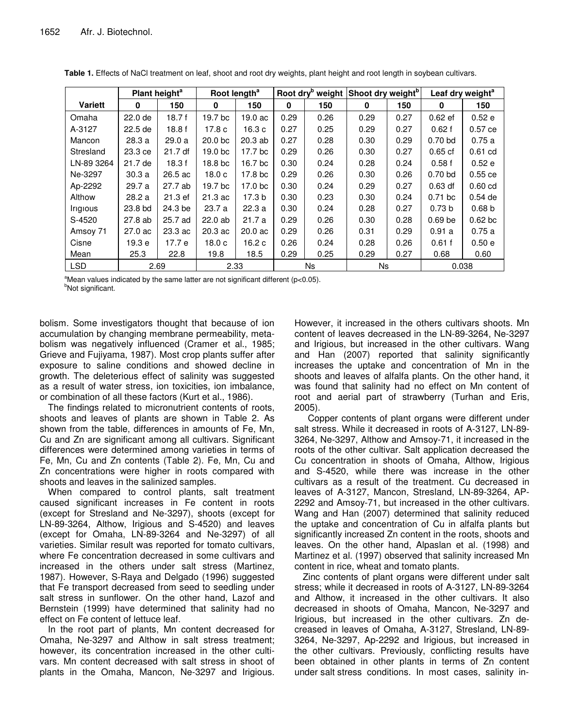|                               | Plant height <sup>a</sup> |         | Root length <sup>a</sup> |                    | Root dry <sup>b</sup> weight Shoot dry weight <sup>b</sup> |      |      |      | Leaf dry weight <sup>a</sup> |                    |  |
|-------------------------------|---------------------------|---------|--------------------------|--------------------|------------------------------------------------------------|------|------|------|------------------------------|--------------------|--|
| <b>Variett</b>                | 0                         | 150     | 0                        | 150                | 0                                                          | 150  | 0    | 150  | 0                            | 150                |  |
| Omaha                         | 22.0 de                   | 18.7f   | 19.7 bc                  | 19.0 ac            | 0.29                                                       | 0.26 | 0.29 | 0.27 | $0.62$ ef                    | 0.52e              |  |
| A-3127                        | 22.5 de                   | 18.8f   | 17.8 c                   | 16.3 c             | 0.27                                                       | 0.25 | 0.29 | 0.27 | 0.62f                        | $0.57$ ce          |  |
| Mancon                        | 28.3 a                    | 29.0a   | 20.0 <sub>bc</sub>       | $20.3$ ab          | 0.27                                                       | 0.28 | 0.30 | 0.29 | $0.70$ bd                    | 0.75a              |  |
| Stresland                     | 23.3 ce                   | 21.7 df | 19.0 <sub>b</sub> c      | 17.7 bc            | 0.29                                                       | 0.26 | 0.30 | 0.27 | $0.65$ cf                    | $0.61$ cd          |  |
| LN-89 3264                    | 21.7 de                   | 18.3f   | 18.8 bc                  | 16.7 bc            | 0.30                                                       | 0.24 | 0.28 | 0.24 | 0.58f                        | 0.52e              |  |
| Ne-3297                       | 30.3a                     | 26.5 ac | 18.0 <sub>c</sub>        | 17.8 bc            | 0.29                                                       | 0.26 | 0.30 | 0.26 | $0.70$ bd                    | $0.55$ ce          |  |
| Ap-2292                       | 29.7 a                    | 27.7 ab | 19.7 bc                  | 17.0 bc            | 0.30                                                       | 0.24 | 0.29 | 0.27 | 0.63 df                      | $0.60$ cd          |  |
| Althow                        | 28.2 a                    | 21.3 ef | 21.3 ac                  | 17.3 b             | 0.30                                                       | 0.23 | 0.30 | 0.24 | $0.71$ bc                    | $0.54$ de          |  |
| <i><u><b>Irigious</b></u></i> | 23.8 bd                   | 24.3 be | 23.7a                    | 22.3a              | 0.30                                                       | 0.24 | 0.28 | 0.27 | 0.73 <sub>b</sub>            | 0.68 <sub>b</sub>  |  |
| S-4520                        | 27.8 ab                   | 25.7 ad | 22.0ab                   | 21.7 a             | 0.29                                                       | 0.26 | 0.30 | 0.28 | 0.69 <sub>be</sub>           | 0.62 <sub>bc</sub> |  |
| Amsoy 71                      | $27.0 \text{ ac}$         | 23.3 ac | $20.3$ ac                | 20.0 <sub>ac</sub> | 0.29                                                       | 0.26 | 0.31 | 0.29 | 0.91a                        | 0.75a              |  |
| Cisne                         | 19.3 е                    | 17.7 e  | 18.0 <sub>c</sub>        | 16.2 c             | 0.26                                                       | 0.24 | 0.28 | 0.26 | 0.61f                        | 0.50e              |  |
| Mean                          | 25.3                      | 22.8    | 19.8                     | 18.5               | 0.29                                                       | 0.25 | 0.29 | 0.27 | 0.68                         | 0.60               |  |
| <b>LSD</b>                    | 2.69                      |         | 2.33                     |                    | Ns.                                                        |      | Ns.  |      | 0.038                        |                    |  |

Table 1. Effects of NaCl treatment on leaf, shoot and root dry weights, plant height and root length in soybean cultivars.

<sup>a</sup>Mean values indicated by the same latter are not significant different (p<0.05). <sup>b</sup>Not significant.

bolism. Some investigators thought that because of ion accumulation by changing membrane permeability, metabolism was negatively influenced (Cramer et al., 1985; Grieve and Fujiyama, 1987). Most crop plants suffer after exposure to saline conditions and showed decline in growth. The deleterious effect of salinity was suggested as a result of water stress, ion toxicities, ion imbalance, or combination of all these factors (Kurt et al., 1986).

The findings related to micronutrient contents of roots, shoots and leaves of plants are shown in Table 2. As shown from the table, differences in amounts of Fe, Mn, Cu and Zn are significant among all cultivars. Significant differences were determined among varieties in terms of Fe, Mn, Cu and Zn contents (Table 2). Fe, Mn, Cu and Zn concentrations were higher in roots compared with shoots and leaves in the salinized samples.

When compared to control plants, salt treatment caused significant increases in Fe content in roots (except for Stresland and Ne-3297), shoots (except for LN-89-3264, Althow, Irigious and S-4520) and leaves (except for Omaha, LN-89-3264 and Ne-3297) of all varieties. Similar result was reported for tomato cultivars, where Fe concentration decreased in some cultivars and increased in the others under salt stress (Martinez, 1987). However, S-Raya and Delgado (1996) suggested that Fe transport decreased from seed to seedling under salt stress in sunflower. On the other hand, Lazof and Bernstein (1999) have determined that salinity had no effect on Fe content of lettuce leaf.

In the root part of plants, Mn content decreased for Omaha, Ne-3297 and Althow in salt stress treatment; however, its concentration increased in the other cultivars. Mn content decreased with salt stress in shoot of plants in the Omaha, Mancon, Ne-3297 and Irigious.

However, it increased in the others cultivars shoots. Mn content of leaves decreased in the LN-89-3264, Ne-3297 and Irigious, but increased in the other cultivars. Wang and Han (2007) reported that salinity significantly increases the uptake and concentration of Mn in the shoots and leaves of alfalfa plants. On the other hand, it was found that salinity had no effect on Mn content of root and aerial part of strawberry (Turhan and Eris,  $2005$ ).

Copper contents of plant organs were different under salt stress. While it decreased in roots of A-3127, LN-89-3264, Ne-3297, Althow and Amsoy-71, it increased in the roots of the other cultivar. Salt application decreased the Cu concentration in shoots of Omaha, Althow, Irigious and S-4520, while there was increase in the other cultivars as a result of the treatment. Cu decreased in leaves of A-3127, Mancon, Stresland, LN-89-3264, AP-2292 and Amsoy-71, but increased in the other cultivars. Wang and Han (2007) determined that salinity reduced the uptake and concentration of Cu in alfalfa plants but significantly increased Zn content in the roots, shoots and leaves. On the other hand, Alpaslan et al. (1998) and Martinez et al. (1997) observed that salinity increased Mn content in rice, wheat and tomato plants.

Zinc contents of plant organs were different under salt stress; while it decreased in roots of A-3127, LN-89-3264 and Althow, it increased in the other cultivars. It also decreased in shoots of Omaha, Mancon, Ne-3297 and Irigious, but increased in the other cultivars. Zn decreased in leaves of Omaha, A-3127, Stresland, LN-89-3264, Ne-3297, Ap-2292 and Irigious, but increased in the other cultivars. Previously, conflicting results have been obtained in other plants in terms of Zn content under salt stress conditions. In most cases, salinity in-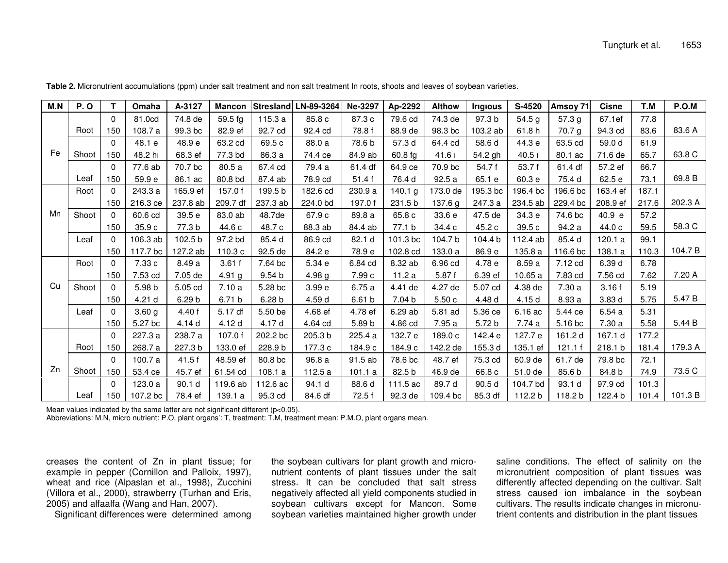| M.N | <b>P.O</b> | т           | Omaha             | A-3127            | <b>Mancon</b>     |                   | Stresland LN-89-3264 | Ne-3297 | Ap-2292   | <b>Althow</b> | <b>Irigious</b>   | S-4520            | Amsoy 71 | <b>Cisne</b> | T.M   | P.O.M   |
|-----|------------|-------------|-------------------|-------------------|-------------------|-------------------|----------------------|---------|-----------|---------------|-------------------|-------------------|----------|--------------|-------|---------|
| Fe  |            | $\Omega$    | 81.0cd            | 74.8 de           | $59.5$ fg         | 115.3a            | 85.8 c               | 87.3 c  | 79.6 cd   | 74.3 de       | 97.3 b            | 54.5 g            | 57.3 g   | 67.1ef       | 77.8  |         |
|     | Root       | 150         | 108.7 a           | 99.3 bc           | 82.9 ef           | 92.7 cd           | 92.4 cd              | 78.8 f  | 88.9 de   | 98.3 bc       | 103.2 ab          | 61.8h             | 70.7 g   | 94.3 cd      | 83.6  | 83.6 A  |
|     |            | $\Omega$    | 48.1 e            | 48.9 e            | 63.2 cd           | 69.5 c            | 88.0 a               | 78.6 b  | 57.3 d    | 64.4 cd       | 58.6 d            | 44.3 e            | 63.5 cd  | 59.0 d       | 61.9  |         |
|     | Shoot      | 150         | 48.2 hi           | 68.3 ef           | 77.3 bd           | 86.3 a            | 74.4 ce              | 84.9 ab | $60.8$ fg | 41.61         | 54.2 gh           | 40.5 <sub>1</sub> | 80.1 ac  | 71.6 de      | 65.7  | 63.8 C  |
|     |            | $\mathbf 0$ | 77.6 ab           | 70.7 bc           | 80.5a             | 67.4 cd           | 79.4 a               | 61.4 df | 64.9 ce   | 70.9 bc       | 54.7 f            | 53.7 f            | 61.4 df  | 57.2 ef      | 66.7  |         |
|     | Leaf       | 150         | 59.9 e            | 86.1 ac           | 80.8 bd           | 87.4 ab           | 78.9 cd              | 51.4 f  | 76.4 d    | 92.5a         | 65.1 e            | 60.3 e            | 75.4 d   | 62.5 e       | 73.1  | 69.8 B  |
| Mn  | Root       | $\Omega$    | 243.3 a           | 165.9 ef          | 157.0f            | 199.5 b           | 182.6 cd             | 230.9 a | 140.1 g   | 173.0 de      | 195.3 bc          | 196.4 bc          | 196.6 bc | 163.4 ef     | 187.1 |         |
|     |            | 150         | 216.3 ce          | 237.8 ab          | 209.7 df          | 237.3 ab          | 224.0 bd             | 197.0f  | 231.5 b   | 137.6 g       | 247.3 a           | 234.5 ab          | 229.4 bc | 208.9 ef     | 217.6 | 202.3 A |
|     | Shoot      | $\Omega$    | 60.6 cd           | 39.5 e            | 83.0 ab           | 48.7de            | 67.9 c               | 89.8 a  | 65.8 c    | 33.6 e        | 47.5 de           | 34.3 e            | 74.6 bc  | 40.9 e       | 57.2  |         |
|     |            | 150         | 35.9 c            | 77.3 b            | 44.6 c            | 48.7 c            | 88.3 ab              | 84.4 ab | 77.1 b    | 34.4 c        | 45.2 c            | 39.5 c            | 94.2 a   | 44.0 c       | 59.5  | 58.3 C  |
|     | Leaf       | $\Omega$    | 106.3 ab          | 102.5 b           | 97.2 bd           | 85.4 d            | 86.9 cd              | 82.1 d  | 101.3 bc  | 104.7 b       | 104.4 b           | 112.4 ab          | 85.4 d   | 120.1a       | 99.1  |         |
|     |            | 150         | 117.7 bc          | 127.2 ab          | 110.3 c           | 92.5 de           | 84.2 e               | 78.9 e  | 102.8 cd  | 133.0 a       | 86.9 e            | 135.8 a           | 116.6 bc | 138.1 a      | 110.3 | 104.7 B |
| Cu  | Root       | $\Omega$    | 7.33 c            | 8.49 a            | 3.61f             | 7.64 bc           | 5.34 e               | 6.84 cd | 8.32 ab   | 6.96 cd       | 4.78 e            | 8.59 a            | 7.12 cd  | 6.39 d       | 6.78  |         |
|     |            | 150         | 7.53 cd           | 7.05 de           | 4.91 $q$          | 9.54 <sub>b</sub> | 4.98 <sub>g</sub>    | 7.99 c  | 11.2a     | 5.87f         | 6.39 ef           | 10.65 a           | 7.83 cd  | 7.56 cd      | 7.62  | 7.20 A  |
|     | Shoot      | $\Omega$    | 5.98 b            | 5.05 cd           | 7.10a             | 5.28 bc           | 3.99 <sub>e</sub>    | 6.75a   | 4.41 de   | 4.27 de       | 5.07 cd           | 4.38 de           | 7.30a    | 3.16f        | 5.19  |         |
|     |            | 150         | 4.21 d            | 6.29 b            | 6.71 <sub>b</sub> | 6.28 <sub>b</sub> | 4.59 d               | 6.61 b  | 7.04 b    | 5.50c         | 4.48 d            | 4.15 d            | 8.93 a   | 3.83 d       | 5.75  | 5.47 B  |
|     | Leaf       | $\Omega$    | 3.60 <sub>g</sub> | 4.40 f            | 5.17 df           | 5.50 be           | 4.68 ef              | 4.78 ef | 6.29 ab   | 5.81 ad       | 5.36 ce           | 6.16 ac           | 5.44 ce  | 6.54a        | 5.31  |         |
|     |            | 150         | 5.27 bc           | 4.14 d            | 4.12 d            | 4.17 d            | 4.64 cd              | 5.89 b  | 4.86 cd   | 7.95 a        | 5.72 <sub>b</sub> | 7.74 a            | 5.16 bc  | 7.30 a       | 5.58  | 5.44 B  |
| Zn  |            | $\mathbf 0$ | 227.3 a           | 238.7 a           | 107.0f            | 202.2 bc          | 205.3 b              | 225.4 a | 132.7 e   | 189.0 c       | 142.4 e           | 127.7 e           | 161.2 d  | 167.1 d      | 177.2 |         |
|     | Root       | 150         | 268.7 a           | 227.3 b           | 133.0 ef          | 228.9b            | 177.3 c              | 184.9 c | 184.9 c   | 142.2 de      | 155.3 d           | 135.1 ef          | 121.1f   | 218.1 b      | 181.4 | 179.3 A |
|     |            | $\Omega$    | 100.7 a           | 41.5f             | 48.59 ef          | 80.8 bc           | 96.8 a               | 91.5 ab | 78.6 bc   | 48.7 ef       | 75.3 cd           | 60.9 de           | 61.7 de  | 79.8 bc      | 72.1  |         |
|     | Shoot      | 150         | 53.4 ce           | 45.7 ef           | 61.54 cd          | 108.1 a           | 112.5 a              | 101.1a  | 82.5 b    | 46.9 de       | 66.8 c            | 51.0 de           | 85.6 b   | 84.8 b       | 74.9  | 73.5 C  |
|     |            | $\Omega$    | 123.0 a           | 90.1 <sub>d</sub> | 119.6 ab          | 112.6 ac          | 94.1 d               | 88.6 d  | 111.5 ac  | 89.7 d        | 90.5 d            | 104.7 bd          | 93.1 d   | 97.9 cd      | 101.3 |         |
|     | Leaf       | 150         | 107.2 bc          | 78.4 ef           | 139.1 a           | 95.3 cd           | 84.6 df              | 72.5 f  | 92.3 de   | 109.4 bc      | 85.3 df           | 112.2 b           | 118.2 b  | 122.4 b      | 101.4 | 101.3 B |

Table 2. Micronutrient accumulations (ppm) under salt treatment and non salt treatment In roots, shoots and leaves of soybean varieties.

Mean values indicated by the same latter are not significant different (p<0.05).

Abbreviations: M.N, micro nutrient: P.O, plant organs': T, treatment: T.M, treatment mean: P.M.O, plant organs mean.

creases the content of Zn in plant tissue; for example in pepper (Cornillon and Palloix, 1997). wheat and rice (Alpaslan et al., 1998), Zucchini (Villora et al., 2000), strawberry (Turhan and Eris, 2005) and alfaalfa (Wang and Han, 2007).

Significant differences were determined among

the soybean cultivars for plant growth and micronutrient contents of plant tissues under the salt stress. It can be concluded that salt stress negatively affected all yield components studied in soybean cultivars except for Mancon. Some soybean varieties maintained higher growth under

saline conditions. The effect of salinity on the micronutrient composition of plant tissues was differently affected depending on the cultivar. Salt stress caused ion imbalance in the soybean cultivars. The results indicate changes in micronutrient contents and distribution in the plant tissues